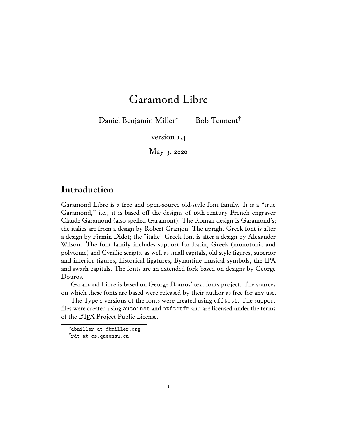# Garamond Libre

Daniel Benjamin Miller<sup>\*</sup> Bob Tennent<sup>†</sup>

version 1.4

May 3, 2020

## **Introduction**

Garamond Libre is a free and open-source old-style font family. It is a "true Garamond," i.e., it is based off the designs of 16th-century French engraver Claude Garamond (also spelled Garamont). The Roman design is Garamond's; the italics are from a design by Robert Granjon. The upright Greek font is after a design by Firmin Didot; the "italic" Greek font is after a design by Alexander Wilson. The font family includes support for Latin, Greek (monotonic and polytonic) and Cyrillic scripts, as well as small capitals, old-style figures, superior and inferior figures, historical ligatures, Byzantine musical symbols, the IPA and swash capitals. The fonts are an extended fork based on designs by George Douros.

Garamond Libre is based on George Douros' text fonts project. The sources on which these fonts are based were released by their author as free for any use.

The Type 1 versions of the fonts were created using cfftot1. The support files were created using autoinst and otftotfm and are licensed under the terms of the L<sup>AT</sup>FX Project Public License.

<sup>∗</sup>dbmiller at dbmiller.org

<sup>†</sup>rdt at cs.queensu.ca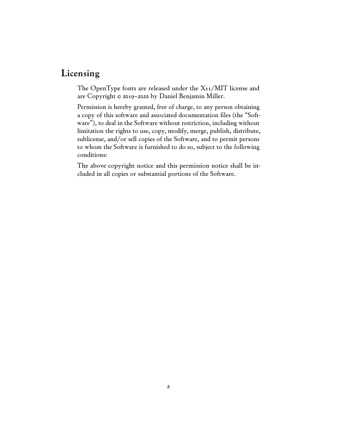## **Licensing**

The OpenType fonts are released under the X11/MIT license and are Copyright © 2019–2020 by Daniel Benjamin Miller.

Permission is hereby granted, free of charge, to any person obtaining a copy of this software and associated documentation files (the "Software"), to deal in the Software without restriction, including without limitation the rights to use, copy, modify, merge, publish, distribute, sublicense, and/or sell copies of the Software, and to permit persons to whom the Software is furnished to do so, subject to the following conditions:

The above copyright notice and this permission notice shall be included in all copies or substantial portions of the Software.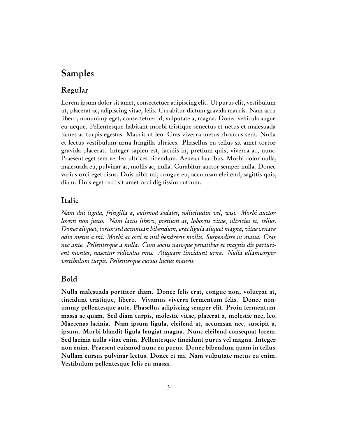# **Samples**

#### **Regular**

Lorem ipsum dolor sit amet, consectetuer adipiscing elit. Ut purus elit, vestibulum ut, placerat ac, adipiscing vitae, felis. Curabitur dictum gravida mauris. Nam arcu libero, nonummy eget, consectetuer id, vulputate a, magna. Donec vehicula augue eu neque. Pellentesque habitant morbi tristique senectus et netus et malesuada fames ac turpis egestas. Mauris ut leo. Cras viverra metus rhoncus sem. Nulla et lectus vestibulum urna fringilla ultrices. Phasellus eu tellus sit amet tortor gravida placerat. Integer sapien est, iaculis in, pretium quis, viverra ac, nunc. Praesent eget sem vel leo ultrices bibendum. Aenean faucibus. Morbi dolor nulla, malesuada eu, pulvinar at, mollis ac, nulla. Curabitur auctor semper nulla. Donec varius orci eget risus. Duis nibh mi, congue eu, accumsan eleifend, sagittis quis, diam. Duis eget orci sit amet orci dignissim rutrum.

#### **Italic**

*Nam dui ligula, fringilla a, euismod sodales, sollicitudin vel, wisi. Morbi auctor lorem non justo. Nam lacus libero, pretium at, lobortis vitae, ultricies et, tellus. Donec aliquet, tortor sed accumsan bibendum, erat ligula aliquet magna, vitae ornare odio metus a mi. Morbi ac orci et nisl hendrerit mollis. Suspendisse ut massa. Cras nec ante. Pellentesque a nulla. Cum sociis natoque penatibus et magnis dis parturient montes, nascetur ridiculus mus. Aliquam tincidunt urna. Nulla ullamcorper vestibulum turpis. Pellentesque cursus luctus mauris.*

#### **Bold**

**Nulla malesuada porttitor diam. Donec felis erat, congue non, volutpat at, tincidunt tristique, libero. Vivamus viverra fermentum felis. Donec nonummy pellentesque ante. Phasellus adipiscing semper elit. Proin fermentum massa ac quam. Sed diam turpis, molestie vitae, placerat a, molestie nec, leo. Maecenas lacinia. Nam ipsum ligula, eleifend at, accumsan nec, suscipit a, ipsum. Morbi blandit ligula feugiat magna. Nunc eleifend consequat lorem. Sed lacinia nulla vitae enim. Pellentesque tincidunt purus vel magna. Integer non enim. Praesent euismod nunc eu purus. Donec bibendum quam in tellus. Nullam cursus pulvinar lectus. Donec et mi. Nam vulputate metus eu enim. Vestibulum pellentesque felis eu massa.**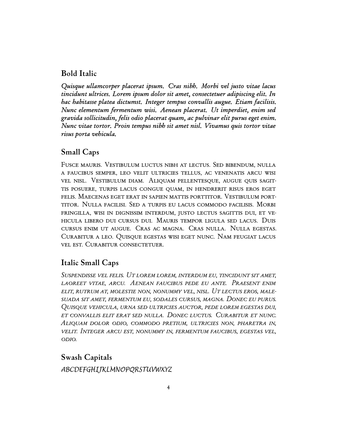#### **Bold Italic**

*Quisque ullamcorper placerat ipsum. Cras nibh. Morbi vel justo vitae lacus tincidunt ultrices. Lorem ipsum dolor sit amet, consectetuer adipiscing elit. In hac habitasse platea dictumst. Integer tempus convallis augue. Etiam facilisis. Nunc elementum fermentum wisi. Aenean placerat. Ut imperdiet, enim sed gravida sollicitudin, felis odio placerat quam, ac pulvinar elit purus eget enim. Nunc vitae tortor. Proin tempus nibh sit amet nisl. Vivamus quis tortor vitae risus porta vehicula.*

## **Small Caps**

Fusce mauris. Vestibulum luctus nibh at lectus. Sed bibendum, nulla a faucibus semper, leo velit ultricies tellus, ac venenatis arcu wisi vel nisl. Vestibulum diam. Aliquam pellentesque, augue quis sagittis posuere, turpis lacus congue quam, in hendrerit risus eros eget felis. Maecenas eget erat in sapien mattis porttitor. Vestibulum porttitor. Nulla facilisi. Sed a turpis eu lacus commodo facilisis. Morbi fringilla, wisi in dignissim interdum, justo lectus sagittis dui, et vehicula libero dui cursus dui. Mauris tempor ligula sed lacus. Duis cursus enim ut augue. Cras ac magna. Cras nulla. Nulla egestas. Curabitur a leo. Quisque egestas wisi eget nunc. Nam feugiat lacus vel est. Curabitur consectetuer.

## **Italic Small Caps**

*Suspendisse vel felis. Ut lorem lorem, interdum eu, tincidunt sit amet, laoreet vitae, arcu. Aenean faucibus pede eu ante. Praesent enim elit, rutrum at, molestie non, nonummy vel, nisl. Ut lectus eros, malesuada sit amet, fermentum eu, sodales cursus, magna. Donec eu purus. Quisque vehicula, urna sed ultricies auctor, pede lorem egestas dui, et convallis elit erat sed nulla. Donec luctus. Curabitur et nunc. Aliquam dolor odio, commodo pretium, ultricies non, pharetra in, velit. Integer arcu est, nonummy in, fermentum faucibus, egestas vel, odio.*

#### **Swash Capitals**

*ABCDEFGHIJKLMNOPQRSTUVWXYZ*